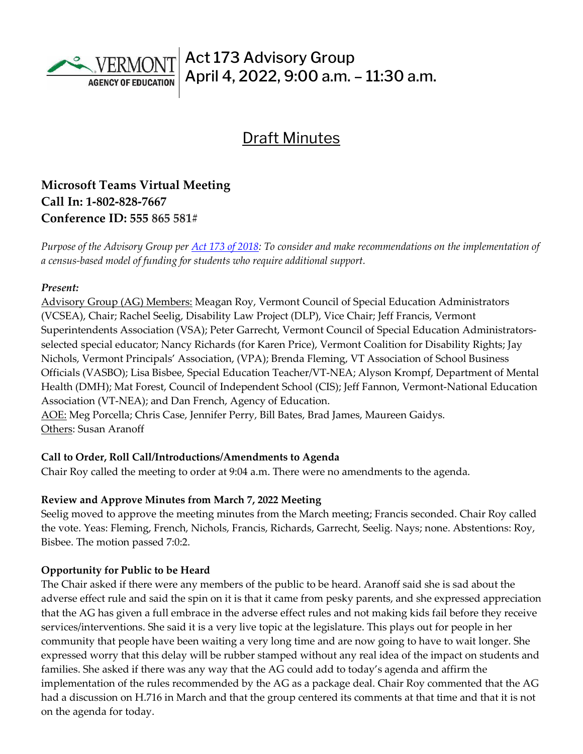

# **Draft Minutes**

# **Microsoft Teams Virtual Meeting Call In: [1-802-828-7667](about:blank)  Conference ID: 555 865 581#**

*Purpose of the Advisory Group per [Act 173 of 2018:](https://legislature.vermont.gov/Documents/2018/Docs/ACTS/ACT173/ACT173%20As%20Enacted.pdf) To consider and make recommendations on the implementation of a census-based model of funding for students who require additional support.*

#### *Present:*

Advisory Group (AG) Members: Meagan Roy, Vermont Council of Special Education Administrators (VCSEA), Chair; Rachel Seelig, Disability Law Project (DLP), Vice Chair; Jeff Francis, Vermont Superintendents Association (VSA); Peter Garrecht, Vermont Council of Special Education Administratorsselected special educator; Nancy Richards (for Karen Price), Vermont Coalition for Disability Rights; Jay Nichols, Vermont Principals' Association, (VPA); Brenda Fleming, VT Association of School Business Officials (VASBO); Lisa Bisbee, Special Education Teacher/VT-NEA; Alyson Krompf, Department of Mental Health (DMH); Mat Forest, Council of Independent School (CIS); Jeff Fannon, Vermont-National Education Association (VT-NEA); and Dan French, Agency of Education.

AOE: Meg Porcella; Chris Case, Jennifer Perry, Bill Bates, Brad James, Maureen Gaidys. Others: Susan Aranoff

#### **Call to Order, Roll Call/Introductions/Amendments to Agenda**

Chair Roy called the meeting to order at 9:04 a.m. There were no amendments to the agenda.

#### **Review and Approve Minutes from March 7, 2022 Meeting**

Seelig moved to approve the meeting minutes from the March meeting; Francis seconded. Chair Roy called the vote. Yeas: Fleming, French, Nichols, Francis, Richards, Garrecht, Seelig. Nays; none. Abstentions: Roy, Bisbee. The motion passed 7:0:2.

#### **Opportunity for Public to be Heard**

The Chair asked if there were any members of the public to be heard. Aranoff said she is sad about the adverse effect rule and said the spin on it is that it came from pesky parents, and she expressed appreciation that the AG has given a full embrace in the adverse effect rules and not making kids fail before they receive services/interventions. She said it is a very live topic at the legislature. This plays out for people in her community that people have been waiting a very long time and are now going to have to wait longer. She expressed worry that this delay will be rubber stamped without any real idea of the impact on students and families. She asked if there was any way that the AG could add to today's agenda and affirm the implementation of the rules recommended by the AG as a package deal. Chair Roy commented that the AG had a discussion on H.716 in March and that the group centered its comments at that time and that it is not on the agenda for today.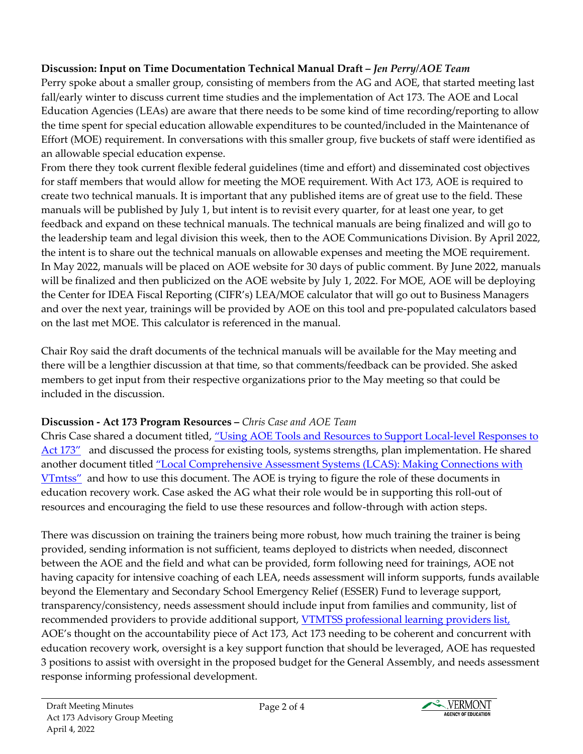## **Discussion: Input on Time Documentation Technical Manual Draft –** *Jen Perry/AOE Team*

Perry spoke about a smaller group, consisting of members from the AG and AOE, that started meeting last fall/early winter to discuss current time studies and the implementation of Act 173. The AOE and Local Education Agencies (LEAs) are aware that there needs to be some kind of time recording/reporting to allow the time spent for special education allowable expenditures to be counted/included in the Maintenance of Effort (MOE) requirement. In conversations with this smaller group, five buckets of staff were identified as an allowable special education expense.

From there they took current flexible federal guidelines (time and effort) and disseminated cost objectives for staff members that would allow for meeting the MOE requirement. With Act 173, AOE is required to create two technical manuals. It is important that any published items are of great use to the field. These manuals will be published by July 1, but intent is to revisit every quarter, for at least one year, to get feedback and expand on these technical manuals. The technical manuals are being finalized and will go to the leadership team and legal division this week, then to the AOE Communications Division. By April 2022, the intent is to share out the technical manuals on allowable expenses and meeting the MOE requirement. In May 2022, manuals will be placed on AOE website for 30 days of public comment. By June 2022, manuals will be finalized and then publicized on the AOE website by July 1, 2022. For MOE, AOE will be deploying the Center for IDEA Fiscal Reporting (CIFR's) LEA/MOE calculator that will go out to Business Managers and over the next year, trainings will be provided by AOE on this tool and pre-populated calculators based on the last met MOE. This calculator is referenced in the manual.

Chair Roy said the draft documents of the technical manuals will be available for the May meeting and there will be a lengthier discussion at that time, so that comments/feedback can be provided. She asked members to get input from their respective organizations prior to the May meeting so that could be included in the discussion.

# **Discussion - Act 173 Program Resources –** *Chris Case and AOE Team*

Chris Case shared a document titled, ["Using AOE Tools and Resources to Support Local-level Responses to](https://education.vermont.gov/document/DRAFT-Using%20AOE%20Resources%20to%20Address%20LEA%20173%20Needs-02-07-22)  [Act 173"](https://education.vermont.gov/document/DRAFT-Using%20AOE%20Resources%20to%20Address%20LEA%20173%20Needs-02-07-22) and discussed the process for existing tools, systems strengths, plan implementation. He shared another document titled ["Local Comprehensive Assessment Systems \(LCAS\): Making Connections with](https://education.vermont.gov/documents/edu-local-comprehensive-assessment-systems-lcas-making-connections-with-vtmtss)  [VTmtss"](https://education.vermont.gov/documents/edu-local-comprehensive-assessment-systems-lcas-making-connections-with-vtmtss) and how to use this document. The AOE is trying to figure the role of these documents in education recovery work. Case asked the AG what their role would be in supporting this roll-out of resources and encouraging the field to use these resources and follow-through with action steps.

There was discussion on training the trainers being more robust, how much training the trainer is being provided, sending information is not sufficient, teams deployed to districts when needed, disconnect between the AOE and the field and what can be provided, form following need for trainings, AOE not having capacity for intensive coaching of each LEA, needs assessment will inform supports, funds available beyond the Elementary and Secondary School Emergency Relief (ESSER) Fund to leverage support, transparency/consistency, needs assessment should include input from families and community, list of recommended providers to provide additional support, **VTMTSS** professional learning providers list, AOE's thought on the accountability piece of Act 173, Act 173 needing to be coherent and concurrent with education recovery work, oversight is a key support function that should be leveraged, AOE has requested 3 positions to assist with oversight in the proposed budget for the General Assembly, and needs assessment response informing professional development.

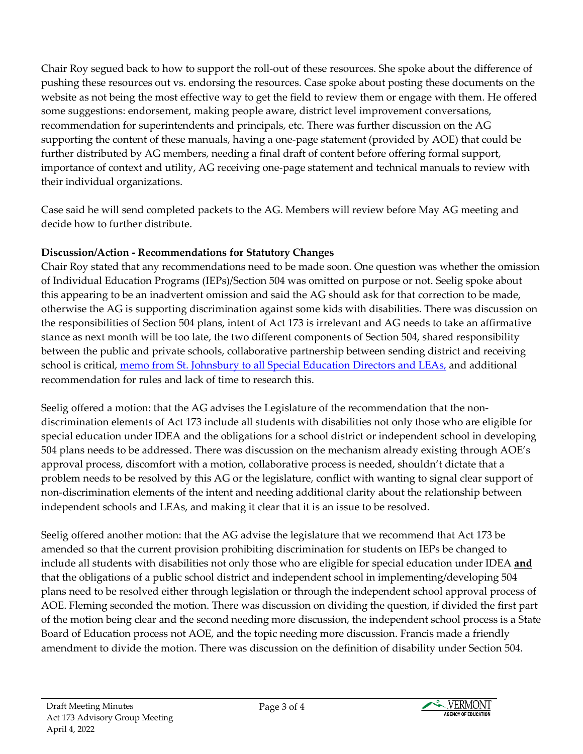Chair Roy segued back to how to support the roll-out of these resources. She spoke about the difference of pushing these resources out vs. endorsing the resources. Case spoke about posting these documents on the website as not being the most effective way to get the field to review them or engage with them. He offered some suggestions: endorsement, making people aware, district level improvement conversations, recommendation for superintendents and principals, etc. There was further discussion on the AG supporting the content of these manuals, having a one-page statement (provided by AOE) that could be further distributed by AG members, needing a final draft of content before offering formal support, importance of context and utility, AG receiving one-page statement and technical manuals to review with their individual organizations.

Case said he will send completed packets to the AG. Members will review before May AG meeting and decide how to further distribute.

### **Discussion/Action - Recommendations for Statutory Changes**

Chair Roy stated that any recommendations need to be made soon. One question was whether the omission of Individual Education Programs (IEPs)/Section 504 was omitted on purpose or not. Seelig spoke about this appearing to be an inadvertent omission and said the AG should ask for that correction to be made, otherwise the AG is supporting discrimination against some kids with disabilities. There was discussion on the responsibilities of Section 504 plans, intent of Act 173 is irrelevant and AG needs to take an affirmative stance as next month will be too late, the two different components of Section 504, shared responsibility between the public and private schools, collaborative partnership between sending district and receiving school is critical, [memo from St. Johnsbury to all Special Education Directors and LEAs,](https://education.vermont.gov/documents/Memo%20from%20St.%20Johnsbury%20-%20504) and additional recommendation for rules and lack of time to research this.

Seelig offered a motion: that the AG advises the Legislature of the recommendation that the nondiscrimination elements of Act 173 include all students with disabilities not only those who are eligible for special education under IDEA and the obligations for a school district or independent school in developing 504 plans needs to be addressed. There was discussion on the mechanism already existing through AOE's approval process, discomfort with a motion, collaborative process is needed, shouldn't dictate that a problem needs to be resolved by this AG or the legislature, conflict with wanting to signal clear support of non-discrimination elements of the intent and needing additional clarity about the relationship between independent schools and LEAs, and making it clear that it is an issue to be resolved.

Seelig offered another motion: that the AG advise the legislature that we recommend that Act 173 be amended so that the current provision prohibiting discrimination for students on IEPs be changed to include all students with disabilities not only those who are eligible for special education under IDEA **and** that the obligations of a public school district and independent school in implementing/developing 504 plans need to be resolved either through legislation or through the independent school approval process of AOE. Fleming seconded the motion. There was discussion on dividing the question, if divided the first part of the motion being clear and the second needing more discussion, the independent school process is a State Board of Education process not AOE, and the topic needing more discussion. Francis made a friendly amendment to divide the motion. There was discussion on the definition of disability under Section 504.